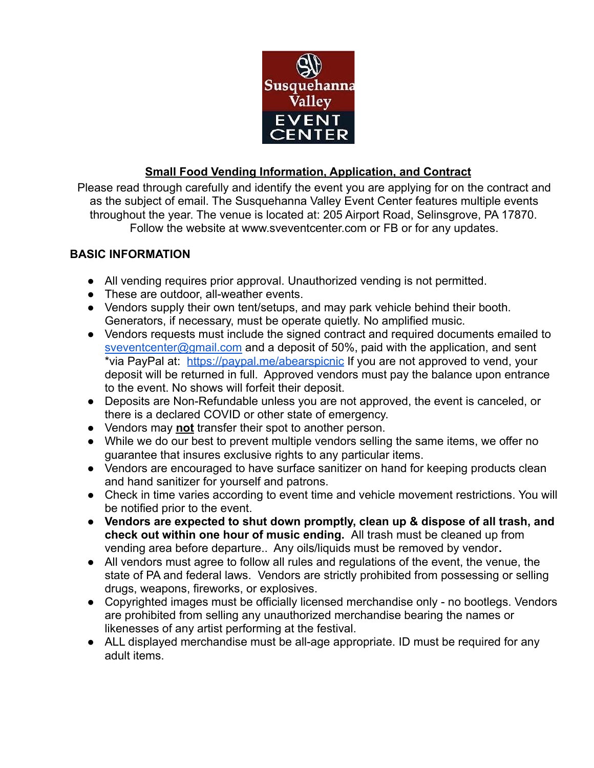

# **Small Food Vending Information, Application, and Contract**

Please read through carefully and identify the event you are applying for on the contract and as the subject of email. The Susquehanna Valley Event Center features multiple events throughout the year. The venue is located at: 205 Airport Road, Selinsgrove, PA 17870. Follow the website at www.sveventcenter.com or FB or for any updates.

# **BASIC INFORMATION**

- All vending requires prior approval. Unauthorized vending is not permitted.
- These are outdoor, all-weather events.
- Vendors supply their own tent/setups, and may park vehicle behind their booth. Generators, if necessary, must be operate quietly. No amplified music.
- Vendors requests must include the signed contract and required documents emailed to [sveventcenter@gmail.com](mailto:sveventcenter@gmail.com) and a deposit of 50%, paid with the application, and sent \*via PayPal at: <https://paypal.me/abearspicnic> If you are not approved to vend, your deposit will be returned in full. Approved vendors must pay the balance upon entrance to the event. No shows will forfeit their deposit.
- Deposits are Non-Refundable unless you are not approved, the event is canceled, or there is a declared COVID or other state of emergency.
- Vendors may **not** transfer their spot to another person.
- While we do our best to prevent multiple vendors selling the same items, we offer no guarantee that insures exclusive rights to any particular items.
- Vendors are encouraged to have surface sanitizer on hand for keeping products clean and hand sanitizer for yourself and patrons.
- Check in time varies according to event time and vehicle movement restrictions. You will be notified prior to the event.
- **Vendors are expected to shut down promptly, clean up & dispose of all trash, and check out within one hour of music ending.** All trash must be cleaned up from vending area before departure.. Any oils/liquids must be removed by vendor**.**
- All vendors must agree to follow all rules and regulations of the event, the venue, the state of PA and federal laws. Vendors are strictly prohibited from possessing or selling drugs, weapons, fireworks, or explosives.
- Copyrighted images must be officially licensed merchandise only no bootlegs. Vendors are prohibited from selling any unauthorized merchandise bearing the names or likenesses of any artist performing at the festival.
- ALL displayed merchandise must be all-age appropriate. ID must be required for any adult items.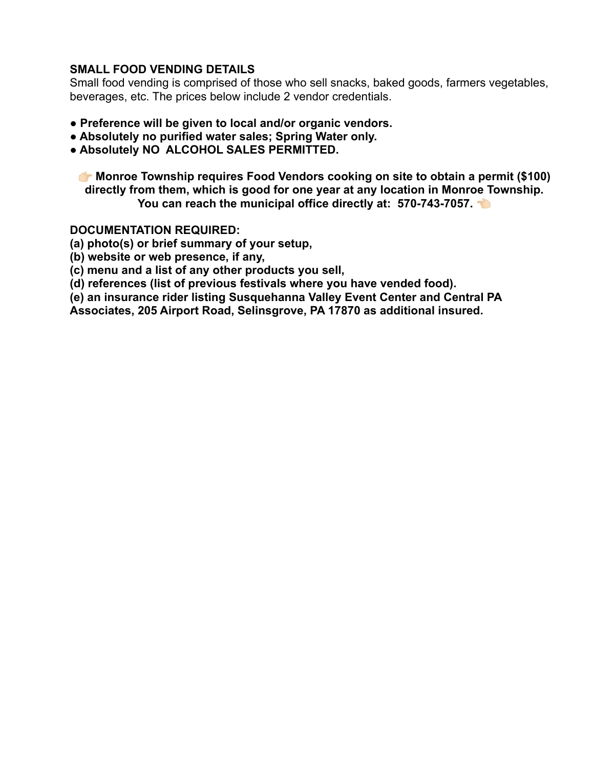# **SMALL FOOD VENDING DETAILS**

Small food vending is comprised of those who sell snacks, baked goods, farmers vegetables, beverages, etc. The prices below include 2 vendor credentials.

- **Preference will be given to local and/or organic vendors.**
- **Absolutely no purified water sales; Spring Water only.**
- **Absolutely NO ALCOHOL SALES PERMITTED.**

 **Monroe Township requires Food Vendors cooking on site to obtain a permit (\$100) directly from them, which is good for one year at any location in Monroe Township. You can reach the municipal office directly at: 570-743-7057.** 

#### **DOCUMENTATION REQUIRED:**

**(a) photo(s) or brief summary of your setup,**

- **(b) website or web presence, if any,**
- **(c) menu and a list of any other products you sell,**
- **(d) references (list of previous festivals where you have vended food).**

**(e) an insurance rider listing Susquehanna Valley Event Center and Central PA**

**Associates, 205 Airport Road, Selinsgrove, PA 17870 as additional insured.**